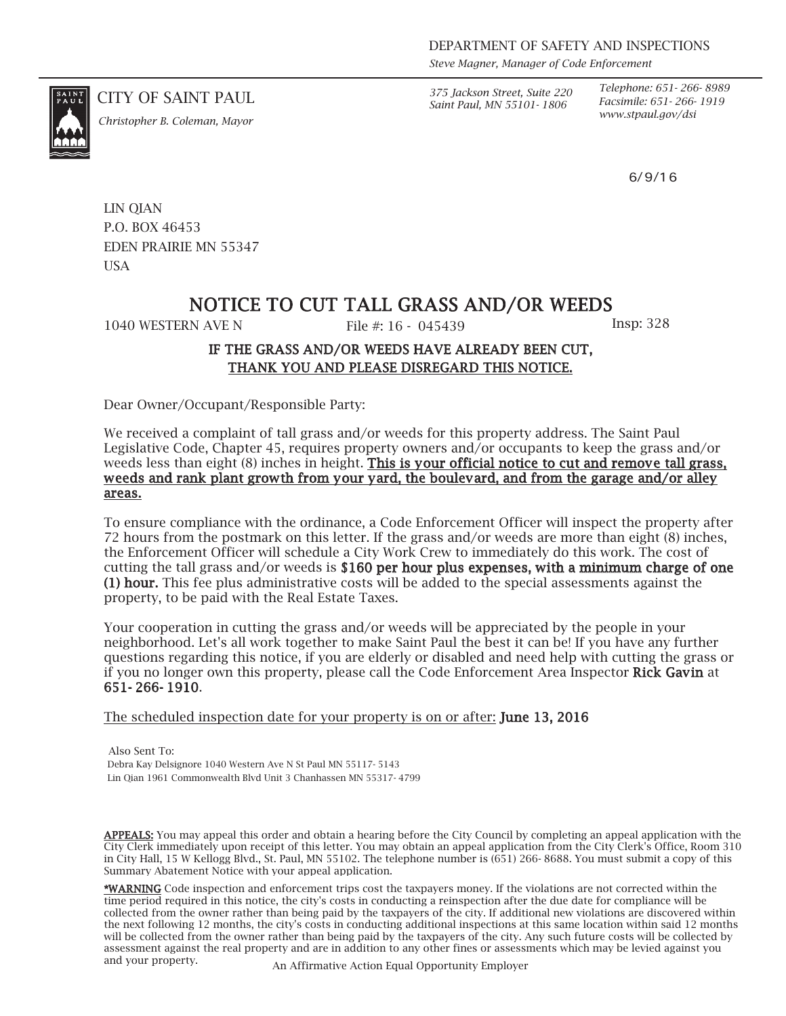*Saint Paul, MN 55101- 1806*

*Telephone: 651- 266- 8989 Facsimile: 651- 266- 1919*

6/9/16

CITY OF SAINT PAUL *375 Jackson Street, Suite 220*



*www.stpaul.gov/dsi Christopher B. Coleman, Mayor*

LIN QIAN P.O. BOX 46453 EDEN PRAIRIE MN 55347 **USA** 

### NOTICE TO CUT TALL GRASS AND/OR WEEDS

1040 WESTERN AVE N File #: 16 - 045439 Insp: 328

### IF THE GRASS AND/OR WEEDS HAVE ALREADY BEEN CUT, THANK YOU AND PLEASE DISREGARD THIS NOTICE.

Dear Owner/Occupant/Responsible Party:

We received a complaint of tall grass and/or weeds for this property address. The Saint Paul Legislative Code, Chapter 45, requires property owners and/or occupants to keep the grass and/or weeds less than eight (8) inches in height. This is your official notice to cut and remove tall grass, weeds and rank plant growth from your yard, the boulevard, and from the garage and/or alley areas.

To ensure compliance with the ordinance, a Code Enforcement Officer will inspect the property after 72 hours from the postmark on this letter. If the grass and/or weeds are more than eight (8) inches, the Enforcement Officer will schedule a City Work Crew to immediately do this work. The cost of cutting the tall grass and/or weeds is \$160 per hour plus expenses, with a minimum charge of one (1) hour. This fee plus administrative costs will be added to the special assessments against the property, to be paid with the Real Estate Taxes.

Your cooperation in cutting the grass and/or weeds will be appreciated by the people in your neighborhood. Let's all work together to make Saint Paul the best it can be! If you have any further questions regarding this notice, if you are elderly or disabled and need help with cutting the grass or if you no longer own this property, please call the Code Enforcement Area Inspector Rick Gavin at 651- 266- 1910.

The scheduled inspection date for your property is on or after: **June 13, 2016** 

Also Sent To: Debra Kay Delsignore 1040 Western Ave N St Paul MN 55117- 5143 Lin Qian 1961 Commonwealth Blvd Unit 3 Chanhassen MN 55317- 4799

APPEALS: You may appeal this order and obtain a hearing before the City Council by completing an appeal application with the City Clerk immediately upon receipt of this letter. You may obtain an appeal application from the City Clerk's Office, Room 310 in City Hall, 15 W Kellogg Blvd., St. Paul, MN 55102. The telephone number is (651) 266- 8688. You must submit a copy of this Summary Abatement Notice with your appeal application.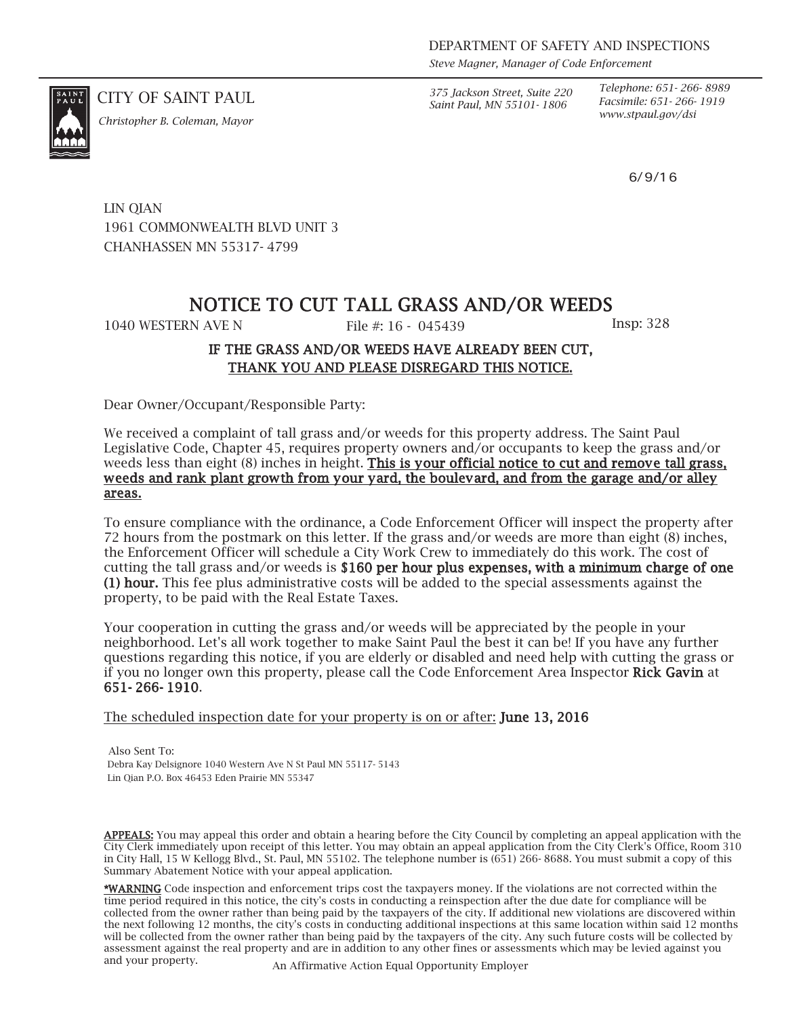CITY OF SAINT PAUL *375 Jackson Street, Suite 220 Saint Paul, MN 55101- 1806*

*Telephone: 651- 266- 8989 Facsimile: 651- 266- 1919 www.stpaul.gov/dsi Christopher B. Coleman, Mayor*

6/9/16

LIN QIAN 1961 COMMONWEALTH BLVD UNIT 3 CHANHASSEN MN 55317- 4799

## NOTICE TO CUT TALL GRASS AND/OR WEEDS

1040 WESTERN AVE N File #: 16 - 045439 Insp: 328

### IF THE GRASS AND/OR WEEDS HAVE ALREADY BEEN CUT, THANK YOU AND PLEASE DISREGARD THIS NOTICE.

Dear Owner/Occupant/Responsible Party:

We received a complaint of tall grass and/or weeds for this property address. The Saint Paul Legislative Code, Chapter 45, requires property owners and/or occupants to keep the grass and/or weeds less than eight (8) inches in height. This is your official notice to cut and remove tall grass, weeds and rank plant growth from your yard, the boulevard, and from the garage and/or alley areas.

To ensure compliance with the ordinance, a Code Enforcement Officer will inspect the property after 72 hours from the postmark on this letter. If the grass and/or weeds are more than eight (8) inches, the Enforcement Officer will schedule a City Work Crew to immediately do this work. The cost of cutting the tall grass and/or weeds is \$160 per hour plus expenses, with a minimum charge of one (1) hour. This fee plus administrative costs will be added to the special assessments against the property, to be paid with the Real Estate Taxes.

Your cooperation in cutting the grass and/or weeds will be appreciated by the people in your neighborhood. Let's all work together to make Saint Paul the best it can be! If you have any further questions regarding this notice, if you are elderly or disabled and need help with cutting the grass or if you no longer own this property, please call the Code Enforcement Area Inspector Rick Gavin at 651- 266- 1910.

The scheduled inspection date for your property is on or after: **June 13, 2016** 

Also Sent To: Debra Kay Delsignore 1040 Western Ave N St Paul MN 55117- 5143 Lin Qian P.O. Box 46453 Eden Prairie MN 55347

APPEALS: You may appeal this order and obtain a hearing before the City Council by completing an appeal application with the City Clerk immediately upon receipt of this letter. You may obtain an appeal application from the City Clerk's Office, Room 310 in City Hall, 15 W Kellogg Blvd., St. Paul, MN 55102. The telephone number is (651) 266- 8688. You must submit a copy of this Summary Abatement Notice with your appeal application.

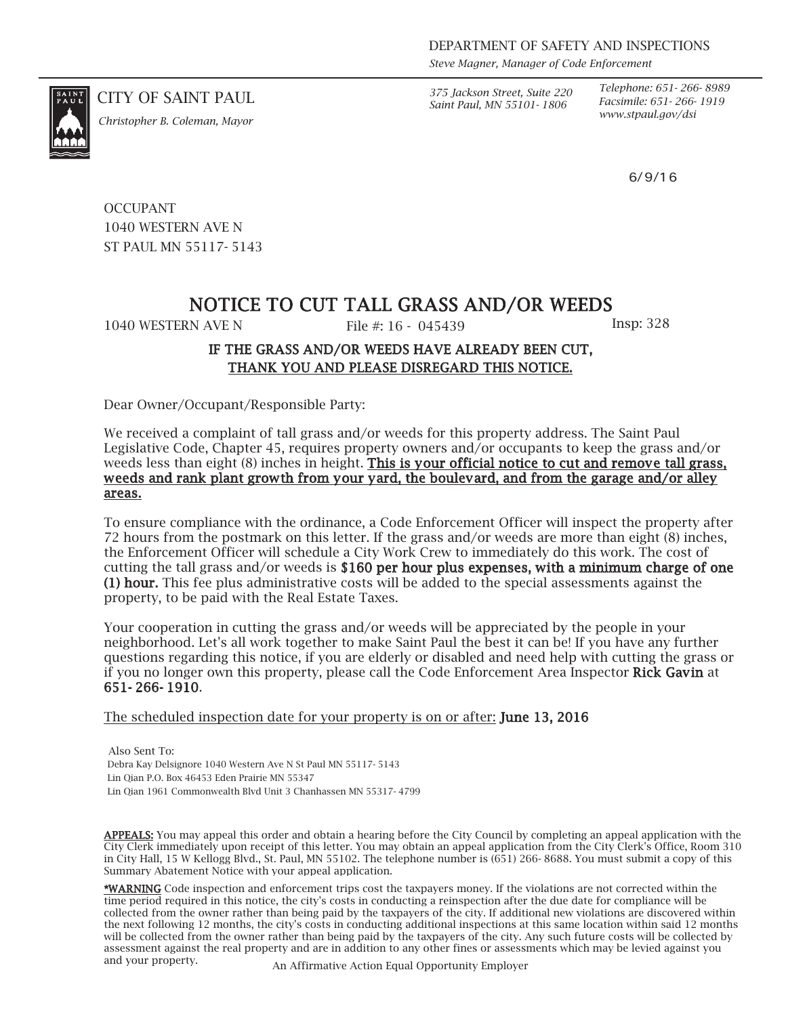CITY OF SAINT PAUL *375 Jackson Street, Suite 220 Saint Paul, MN 55101- 1806*

*Telephone: 651- 266- 8989 Facsimile: 651- 266- 1919*

6/9/16

*www.stpaul.gov/dsi Christopher B. Coleman, Mayor*

**OCCUPANT** 1040 WESTERN AVE N ST PAUL MN 55117- 5143

# NOTICE TO CUT TALL GRASS AND/OR WEEDS

1040 WESTERN AVE N File #: 16 - 045439 Insp: 328

### IF THE GRASS AND/OR WEEDS HAVE ALREADY BEEN CUT, THANK YOU AND PLEASE DISREGARD THIS NOTICE.

Dear Owner/Occupant/Responsible Party:

We received a complaint of tall grass and/or weeds for this property address. The Saint Paul Legislative Code, Chapter 45, requires property owners and/or occupants to keep the grass and/or weeds less than eight (8) inches in height. This is your official notice to cut and remove tall grass, weeds and rank plant growth from your yard, the boulevard, and from the garage and/or alley areas.

To ensure compliance with the ordinance, a Code Enforcement Officer will inspect the property after 72 hours from the postmark on this letter. If the grass and/or weeds are more than eight (8) inches, the Enforcement Officer will schedule a City Work Crew to immediately do this work. The cost of cutting the tall grass and/or weeds is \$160 per hour plus expenses, with a minimum charge of one (1) hour. This fee plus administrative costs will be added to the special assessments against the property, to be paid with the Real Estate Taxes.

Your cooperation in cutting the grass and/or weeds will be appreciated by the people in your neighborhood. Let's all work together to make Saint Paul the best it can be! If you have any further questions regarding this notice, if you are elderly or disabled and need help with cutting the grass or if you no longer own this property, please call the Code Enforcement Area Inspector Rick Gavin at 651- 266- 1910.

The scheduled inspection date for your property is on or after: **June 13, 2016** 

Also Sent To: Debra Kay Delsignore 1040 Western Ave N St Paul MN 55117- 5143 Lin Qian P.O. Box 46453 Eden Prairie MN 55347 Lin Qian 1961 Commonwealth Blvd Unit 3 Chanhassen MN 55317- 4799

APPEALS: You may appeal this order and obtain a hearing before the City Council by completing an appeal application with the City Clerk immediately upon receipt of this letter. You may obtain an appeal application from the City Clerk's Office, Room 310 in City Hall, 15 W Kellogg Blvd., St. Paul, MN 55102. The telephone number is (651) 266- 8688. You must submit a copy of this Summary Abatement Notice with your appeal application.